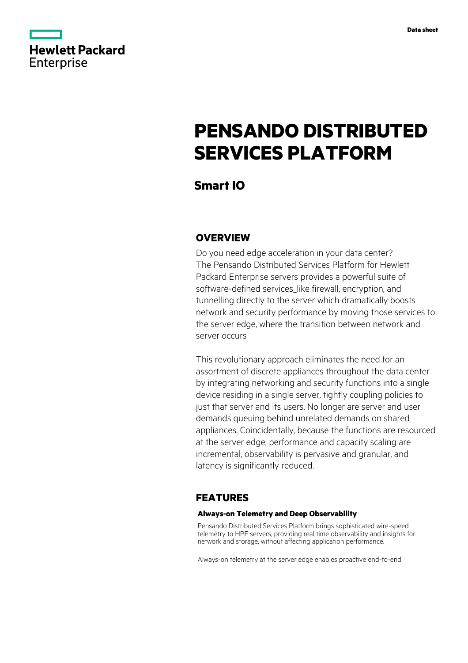

# **PENSANDO DISTRIBUTED SERVICES PLATFORM**

**Smart IO**

# **OVERVIEW**

Do you need edge acceleration in your data center? The Pensando Distributed Services Platform for Hewlett Packard Enterprise servers provides a powerful suite of software-defined services like firewall, encryption, and tunnelling directly to the server which dramatically boosts network and security performance by moving those services to the server edge, where the transition between network and server occurs

This revolutionary approach eliminates the need for an assortment of discrete appliances throughout the data center by integrating networking and security functions into a single device residing in a single server, tightly coupling policies to just that server and its users. No longer are server and user demands queuing behind unrelated demands on shared appliances. Coincidentally, because the functions are resourced at the server edge, performance and capacity scaling are incremental, observability is pervasive and granular, and latency is significantly reduced.

# **FEATURES**

### **Always-on Telemetry and Deep Observability**

Pensando Distributed Services Platform brings sophisticated wire-speed telemetry to HPE servers, providing real time observability and insights for network and storage, without affecting application performance.

Always-on telemetry at the server edge enables proactive end-to-end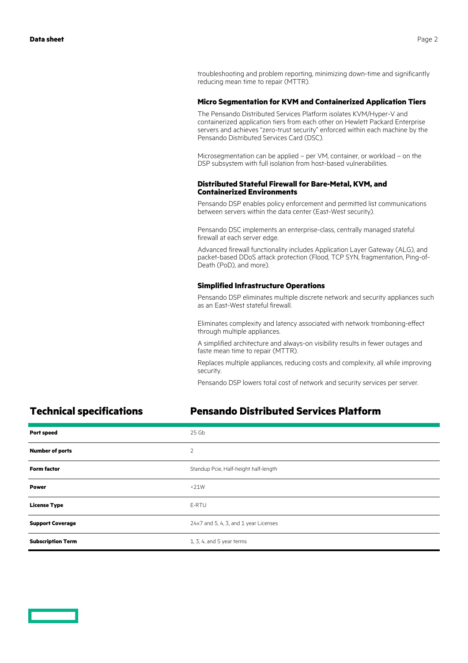troubleshooting and problem reporting, minimizing down-time and significantly reducing mean time to repair (MTTR).

### **Micro Segmentation for KVM and Containerized Application Tiers**

The Pensando Distributed Services Platform isolates KVM/Hyper-V and containerized application tiers from each other on Hewlett Packard Enterprise servers and achieves "zero-trust security" enforced within each machine by the Pensando Distributed Services Card (DSC).

Microsegmentation can be applied – per VM, container, or workload – on the DSP subsystem with full isolation from host-based vulnerabilities.

### **Distributed Stateful Firewall for Bare-Metal, KVM, and Containerized Environments**

Pensando DSP enables policy enforcement and permitted list communications between servers within the data center (East-West security).

Pensando DSC implements an enterprise-class, centrally managed stateful firewall at each server edge.

Advanced firewall functionality includes Application Layer Gateway (ALG), and packet-based DDoS attack protection (Flood, TCP SYN, fragmentation, Ping-of-Death (PoD), and more).

### **Simplified Infrastructure Operations**

Pensando DSP eliminates multiple discrete network and security appliances such as an East-West stateful firewall.

Eliminates complexity and latency associated with network tromboning-effect through multiple appliances.

A simplified architecture and always-on visibility results in fewer outages and faste mean time to repair (MTTR).

Replaces multiple appliances, reducing costs and complexity, all while improving security.

Pensando DSP lowers total cost of network and security services per server.

## **Technical specifications Pensando Distributed Services Platform**

| <b>Port speed</b>        | 25 Gb                                 |
|--------------------------|---------------------------------------|
| <b>Number of ports</b>   | $\overline{2}$                        |
| <b>Form factor</b>       | Standup Pcie, Half-height half-length |
| <b>Power</b>             | <21W                                  |
| <b>License Type</b>      | E-RTU                                 |
| <b>Support Coverage</b>  | 24x7 and 5, 4, 3, and 1 year Licenses |
| <b>Subscription Term</b> | 1, 3, 4, and 5 year terms             |